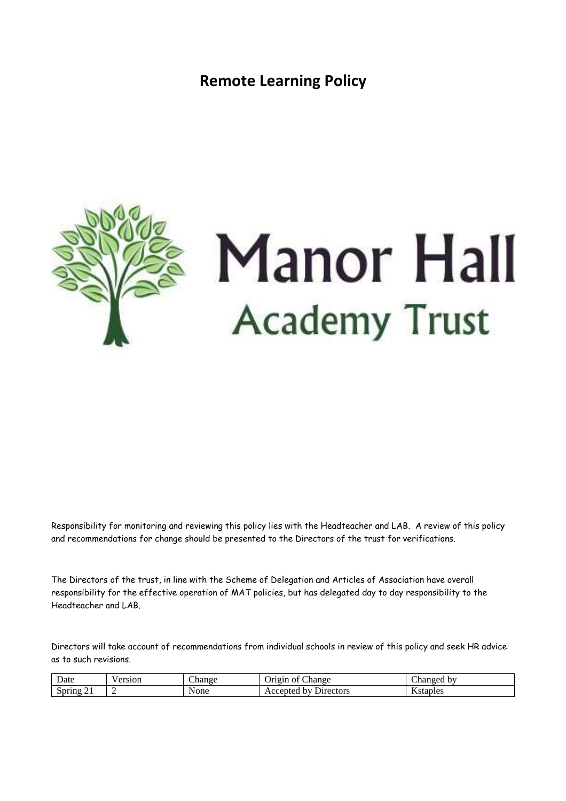**Remote Learning Policy**



Responsibility for monitoring and reviewing this policy lies with the Headteacher and LAB. A review of this policy and recommendations for change should be presented to the Directors of the trust for verifications.

The Directors of the trust, in line with the Scheme of Delegation and Articles of Association have overall responsibility for the effective operation of MAT policies, but has delegated day to day responsibility to the Headteacher and LAB.

Directors will take account of recommendations from individual schools in review of this policy and seek HR advice as to such revisions.

| Date   | v ersion | $\sim$<br>Change | $\sim$<br>hange<br>Origin<br>ΟĪ    | $\sim$<br>hanged by |
|--------|----------|------------------|------------------------------------|---------------------|
| Spring |          | None             | hv<br><b>Directors</b><br>Accepted | Kstaples            |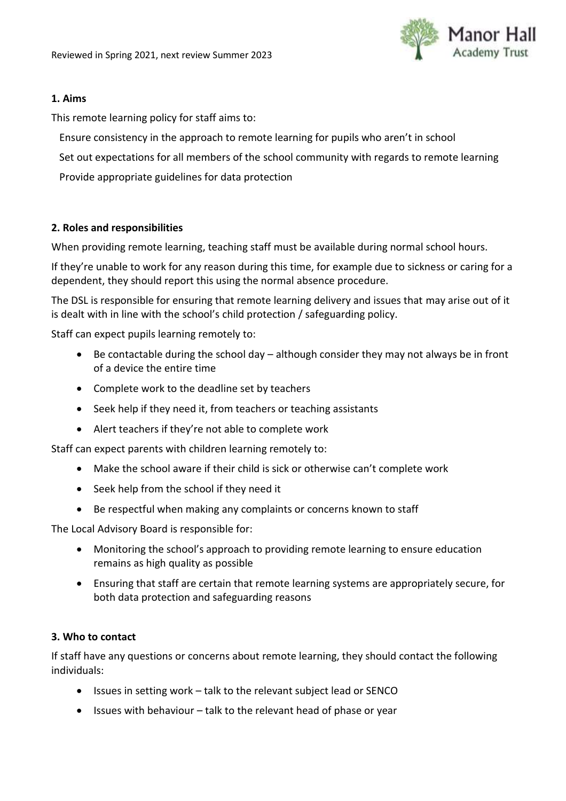

### **1. Aims**

This remote learning policy for staff aims to:

Ensure consistency in the approach to remote learning for pupils who aren't in school

Set out expectations for all members of the school community with regards to remote learning

Provide appropriate guidelines for data protection

### **2. Roles and responsibilities**

When providing remote learning, teaching staff must be available during normal school hours.

If they're unable to work for any reason during this time, for example due to sickness or caring for a dependent, they should report this using the normal absence procedure.

The DSL is responsible for ensuring that remote learning delivery and issues that may arise out of it is dealt with in line with the school's child protection / safeguarding policy.

Staff can expect pupils learning remotely to:

- Be contactable during the school day although consider they may not always be in front of a device the entire time
- Complete work to the deadline set by teachers
- Seek help if they need it, from teachers or teaching assistants
- Alert teachers if they're not able to complete work

Staff can expect parents with children learning remotely to:

- Make the school aware if their child is sick or otherwise can't complete work
- Seek help from the school if they need it
- Be respectful when making any complaints or concerns known to staff

The Local Advisory Board is responsible for:

- Monitoring the school's approach to providing remote learning to ensure education remains as high quality as possible
- Ensuring that staff are certain that remote learning systems are appropriately secure, for both data protection and safeguarding reasons

### **3. Who to contact**

If staff have any questions or concerns about remote learning, they should contact the following individuals:

- Issues in setting work talk to the relevant subject lead or SENCO
- $\bullet$  Issues with behaviour talk to the relevant head of phase or year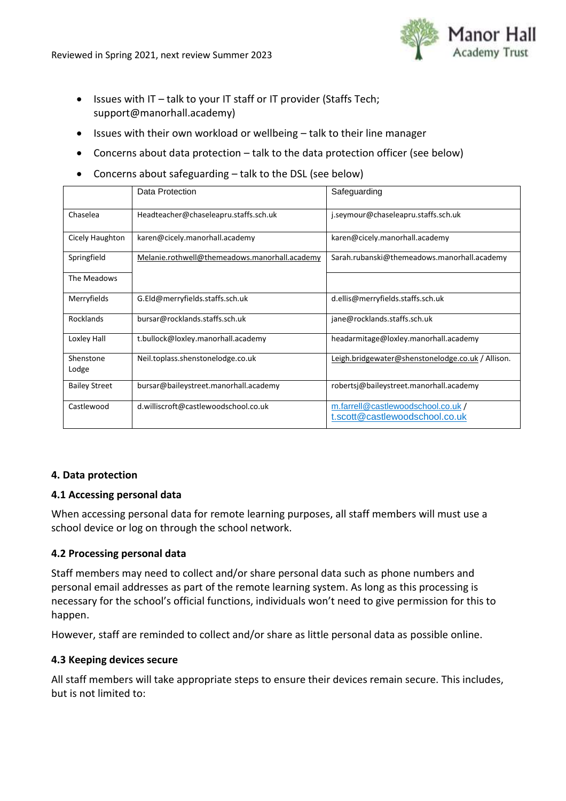

- $\bullet$  Issues with IT talk to your IT staff or IT provider (Staffs Tech; support@manorhall.academy)
- Issues with their own workload or wellbeing talk to their line manager
- Concerns about data protection talk to the data protection officer (see below)
- Concerns about safeguarding talk to the DSL (see below)

|                      | Data Protection                               | Safeguarding                                                        |  |
|----------------------|-----------------------------------------------|---------------------------------------------------------------------|--|
| Chaselea             | Headteacher@chaseleapru.staffs.sch.uk         | j.seymour@chaseleapru.staffs.sch.uk                                 |  |
| Cicely Haughton      | karen@cicely.manorhall.academy                | karen@cicely.manorhall.academy                                      |  |
| Springfield          | Melanie.rothwell@themeadows.manorhall.academy | Sarah.rubanski@themeadows.manorhall.academy                         |  |
| The Meadows          |                                               |                                                                     |  |
| Merryfields          | G.Eld@merryfields.staffs.sch.uk               | d.ellis@merryfields.staffs.sch.uk                                   |  |
| Rocklands            | bursar@rocklands.staffs.sch.uk                | jane@rocklands.staffs.sch.uk                                        |  |
| Loxley Hall          | t.bullock@loxley.manorhall.academy            | headarmitage@loxley.manorhall.academy                               |  |
| Shenstone<br>Lodge   | Neil.toplass.shenstonelodge.co.uk             | Leigh.bridgewater@shenstonelodge.co.uk / Allison.                   |  |
| <b>Bailey Street</b> | bursar@baileystreet.manorhall.academy         | robertsj@baileystreet.manorhall.academy                             |  |
| Castlewood           | d.williscroft@castlewoodschool.co.uk          | m.farrell@castlewoodschool.co.uk/<br>t.scott@castlewoodschool.co.uk |  |

### **4. Data protection**

### **4.1 Accessing personal data**

When accessing personal data for remote learning purposes, all staff members will must use a school device or log on through the school network.

# **4.2 Processing personal data**

Staff members may need to collect and/or share personal data such as phone numbers and personal email addresses as part of the remote learning system. As long as this processing is necessary for the school's official functions, individuals won't need to give permission for this to happen.

However, staff are reminded to collect and/or share as little personal data as possible online.

### **4.3 Keeping devices secure**

All staff members will take appropriate steps to ensure their devices remain secure. This includes, but is not limited to: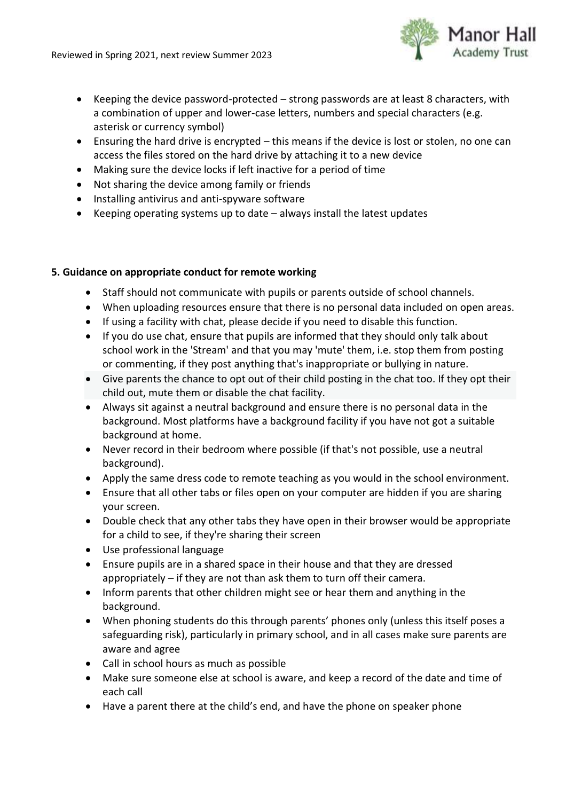

- Keeping the device password-protected strong passwords are at least 8 characters, with a combination of upper and lower-case letters, numbers and special characters (e.g. asterisk or currency symbol)
- Ensuring the hard drive is encrypted this means if the device is lost or stolen, no one can access the files stored on the hard drive by attaching it to a new device
- Making sure the device locks if left inactive for a period of time
- Not sharing the device among family or friends
- Installing antivirus and anti-spyware software
- Keeping operating systems up to date always install the latest updates

# **5. Guidance on appropriate conduct for remote working**

- Staff should not communicate with pupils or parents outside of school channels.
- When uploading resources ensure that there is no personal data included on open areas.
- If using a facility with chat, please decide if you need to disable this function.
- If you do use chat, ensure that pupils are informed that they should only talk about school work in the 'Stream' and that you may 'mute' them, i.e. stop them from posting or commenting, if they post anything that's inappropriate or bullying in nature.
- Give parents the chance to opt out of their child posting in the chat too. If they opt their child out, mute them or disable the chat facility.
- Always sit against a neutral background and ensure there is no personal data in the background. Most platforms have a background facility if you have not got a suitable background at home.
- Never record in their bedroom where possible (if that's not possible, use a neutral background).
- Apply the same dress code to remote teaching as you would in the school environment.
- Ensure that all other tabs or files open on your computer are hidden if you are sharing your screen.
- Double check that any other tabs they have open in their browser would be appropriate for a child to see, if they're sharing their screen
- Use professional language
- Ensure pupils are in a shared space in their house and that they are dressed appropriately – if they are not than ask them to turn off their camera.
- Inform parents that other children might see or hear them and anything in the background.
- When phoning students do this through parents' phones only (unless this itself poses a safeguarding risk), particularly in primary school, and in all cases make sure parents are aware and agree
- Call in school hours as much as possible
- Make sure someone else at school is aware, and keep a record of the date and time of each call
- Have a parent there at the child's end, and have the phone on speaker phone